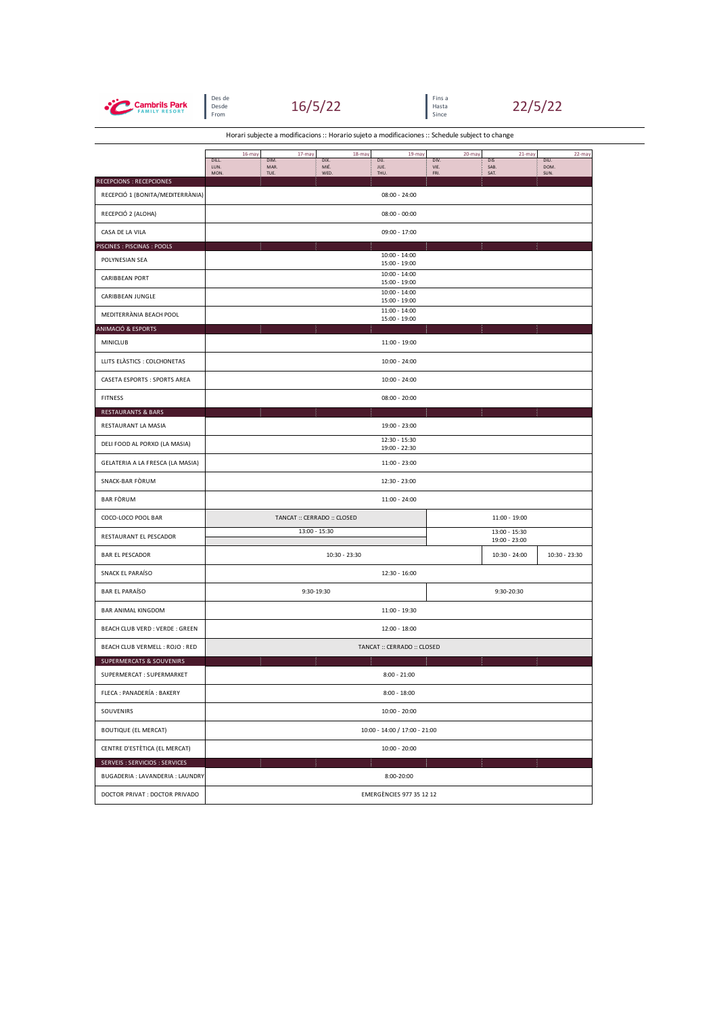

Des de Fins a<br>Desde Hasta de Hasta de Hasta de Hasta de Hasta de Hasta de Hasta de Hasta de Hasta de Hasta de H<br>From Since





Horari subjecte a modificacions :: Horario sujeto a modificaciones :: Schedule subject to change

|                                  | 16-may                        | 17-may               | 18-may                      | 19-may                           | 20-may               | 21-may                         | 22-may               |  |  |  |  |
|----------------------------------|-------------------------------|----------------------|-----------------------------|----------------------------------|----------------------|--------------------------------|----------------------|--|--|--|--|
|                                  | DILL.<br>LUN.<br>MON.         | DIM.<br>MAR.<br>TUE. | DIX.<br>MIÉ.<br>WED.        | DU.<br>JUE.<br>THU.              | DIV.<br>VIE.<br>FRI. | DIS<br>SAB.<br>SAT.            | DIU.<br>DOM.<br>SUN. |  |  |  |  |
| RECEPCIONS : RECEPCIONES         |                               |                      |                             |                                  |                      |                                |                      |  |  |  |  |
| RECEPCIÓ 1 (BONITA/MEDITERRÀNIA) | $08:00 - 24:00$               |                      |                             |                                  |                      |                                |                      |  |  |  |  |
| RECEPCIÓ 2 (ALOHA)               | $08:00 - 00:00$               |                      |                             |                                  |                      |                                |                      |  |  |  |  |
| CASA DE LA VILA                  |                               |                      |                             | 09:00 - 17:00                    |                      |                                |                      |  |  |  |  |
| PISCINES : PISCINAS : POOLS      |                               |                      |                             |                                  |                      |                                |                      |  |  |  |  |
| POLYNESIAN SEA                   |                               |                      |                             | $10:00 - 14:00$<br>15:00 - 19:00 |                      |                                |                      |  |  |  |  |
| CARIBBEAN PORT                   |                               |                      |                             | $10:00 - 14:00$<br>15:00 - 19:00 |                      |                                |                      |  |  |  |  |
| CARIBBEAN JUNGLE                 |                               |                      |                             | $10:00 - 14:00$<br>15:00 - 19:00 |                      |                                |                      |  |  |  |  |
| MEDITERRÀNIA BEACH POOL          |                               |                      |                             | $11:00 - 14:00$<br>15:00 - 19:00 |                      |                                |                      |  |  |  |  |
| ANIMACIÓ & ESPORTS               |                               |                      |                             |                                  |                      |                                |                      |  |  |  |  |
| MINICLUB                         |                               |                      |                             | 11:00 - 19:00                    |                      |                                |                      |  |  |  |  |
| LLITS ELASTICS : COLCHONETAS     |                               |                      |                             | $10:00 - 24:00$                  |                      |                                |                      |  |  |  |  |
| CASETA ESPORTS : SPORTS AREA     |                               |                      |                             | $10:00 - 24:00$                  |                      |                                |                      |  |  |  |  |
| <b>FITNESS</b>                   |                               |                      |                             | $08:00 - 20:00$                  |                      |                                |                      |  |  |  |  |
| RESTAURANTS & BARS               |                               |                      |                             |                                  |                      |                                |                      |  |  |  |  |
| RESTAURANT LA MASIA              |                               |                      |                             | 19:00 - 23:00                    |                      |                                |                      |  |  |  |  |
| DELI FOOD AL PORXO (LA MASIA)    |                               |                      |                             | $12:30 - 15:30$<br>19:00 - 22:30 |                      |                                |                      |  |  |  |  |
| GELATERIA A LA FRESCA (LA MASIA) |                               |                      |                             | 11:00 - 23:00                    |                      |                                |                      |  |  |  |  |
| SNACK-BAR FORUM                  |                               |                      |                             | 12:30 - 23:00                    |                      |                                |                      |  |  |  |  |
| <b>BAR FÒRUM</b>                 |                               |                      |                             | 11:00 - 24:00                    |                      |                                |                      |  |  |  |  |
| COCO-LOCO POOL BAR               |                               |                      | TANCAT :: CERRADO :: CLOSED | 11:00 - 19:00                    |                      |                                |                      |  |  |  |  |
| RESTAURANT EL PESCADOR           | 13:00 - 15:30                 |                      |                             |                                  |                      | 13:00 - 15:30<br>19:00 - 23:00 |                      |  |  |  |  |
| <b>BAR EL PESCADOR</b>           | 10:30 - 23:30                 |                      |                             |                                  |                      | 10:30 - 24:00                  | 10:30 - 23:30        |  |  |  |  |
| SNACK EL PARAÍSO                 | 12:30 - 16:00                 |                      |                             |                                  |                      |                                |                      |  |  |  |  |
| <b>BAR EL PARAÍSO</b>            | 9:30-19:30                    |                      |                             |                                  | 9:30-20:30           |                                |                      |  |  |  |  |
| <b>BAR ANIMAL KINGDOM</b>        | 11:00 - 19:30                 |                      |                             |                                  |                      |                                |                      |  |  |  |  |
| BEACH CLUB VERD : VERDE : GREEN  | 12:00 - 18:00                 |                      |                             |                                  |                      |                                |                      |  |  |  |  |
| BEACH CLUB VERMELL : ROJO : RED  | TANCAT :: CERRADO :: CLOSED   |                      |                             |                                  |                      |                                |                      |  |  |  |  |
| SUPERMERCATS & SOUVENIRS         |                               |                      |                             |                                  |                      |                                |                      |  |  |  |  |
| SUPERMERCAT: SUPERMARKET         |                               |                      |                             | $8:00 - 21:00$                   |                      |                                |                      |  |  |  |  |
| FLECA : PANADERÍA : BAKERY       | $8:00 - 18:00$                |                      |                             |                                  |                      |                                |                      |  |  |  |  |
| SOUVENIRS                        | $10:00 - 20:00$               |                      |                             |                                  |                      |                                |                      |  |  |  |  |
| <b>BOUTIQUE (EL MERCAT)</b>      | 10:00 - 14:00 / 17:00 - 21:00 |                      |                             |                                  |                      |                                |                      |  |  |  |  |
| CENTRE D'ESTÈTICA (EL MERCAT)    | $10:00 - 20:00$               |                      |                             |                                  |                      |                                |                      |  |  |  |  |
| SERVEIS : SERVICIOS : SERVICES   |                               |                      |                             |                                  |                      |                                |                      |  |  |  |  |
| BUGADERIA : LAVANDERIA : LAUNDRY |                               |                      |                             | 8:00-20:00                       |                      |                                |                      |  |  |  |  |
| DOCTOR PRIVAT : DOCTOR PRIVADO   | EMERGÈNCIES 977 35 12 12      |                      |                             |                                  |                      |                                |                      |  |  |  |  |